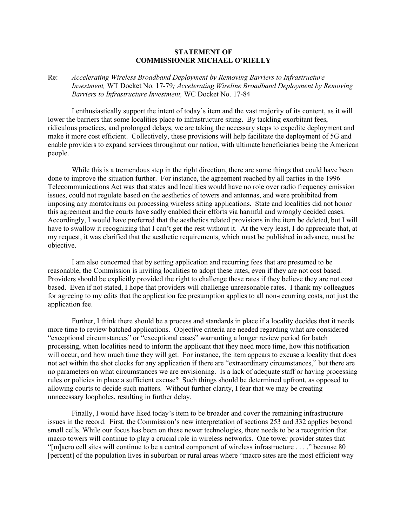## **STATEMENT OF COMMISSIONER MICHAEL O'RIELLY**

## Re: *Accelerating Wireless Broadband Deployment by Removing Barriers to Infrastructure Investment,* WT Docket No. 17-79*; Accelerating Wireline Broadband Deployment by Removing Barriers to Infrastructure Investment,* WC Docket No. 17-84

I enthusiastically support the intent of today's item and the vast majority of its content, as it will lower the barriers that some localities place to infrastructure siting. By tackling exorbitant fees, ridiculous practices, and prolonged delays, we are taking the necessary steps to expedite deployment and make it more cost efficient. Collectively, these provisions will help facilitate the deployment of 5G and enable providers to expand services throughout our nation, with ultimate beneficiaries being the American people.

While this is a tremendous step in the right direction, there are some things that could have been done to improve the situation further. For instance, the agreement reached by all parties in the 1996 Telecommunications Act was that states and localities would have no role over radio frequency emission issues, could not regulate based on the aesthetics of towers and antennas, and were prohibited from imposing any moratoriums on processing wireless siting applications. State and localities did not honor this agreement and the courts have sadly enabled their efforts via harmful and wrongly decided cases. Accordingly, I would have preferred that the aesthetics related provisions in the item be deleted, but I will have to swallow it recognizing that I can't get the rest without it. At the very least, I do appreciate that, at my request, it was clarified that the aesthetic requirements, which must be published in advance, must be objective.

I am also concerned that by setting application and recurring fees that are presumed to be reasonable, the Commission is inviting localities to adopt these rates, even if they are not cost based. Providers should be explicitly provided the right to challenge these rates if they believe they are not cost based. Even if not stated, I hope that providers will challenge unreasonable rates. I thank my colleagues for agreeing to my edits that the application fee presumption applies to all non-recurring costs, not just the application fee.

Further, I think there should be a process and standards in place if a locality decides that it needs more time to review batched applications. Objective criteria are needed regarding what are considered "exceptional circumstances" or "exceptional cases" warranting a longer review period for batch processing, when localities need to inform the applicant that they need more time, how this notification will occur, and how much time they will get. For instance, the item appears to excuse a locality that does not act within the shot clocks for any application if there are "extraordinary circumstances," but there are no parameters on what circumstances we are envisioning. Is a lack of adequate staff or having processing rules or policies in place a sufficient excuse? Such things should be determined upfront, as opposed to allowing courts to decide such matters. Without further clarity, I fear that we may be creating unnecessary loopholes, resulting in further delay.

Finally, I would have liked today's item to be broader and cover the remaining infrastructure issues in the record. First, the Commission's new interpretation of sections 253 and 332 applies beyond small cells. While our focus has been on these newer technologies, there needs to be a recognition that macro towers will continue to play a crucial role in wireless networks. One tower provider states that "[m]acro cell sites will continue to be a central component of wireless infrastructure . . . ," because 80 [percent] of the population lives in suburban or rural areas where "macro sites are the most efficient way